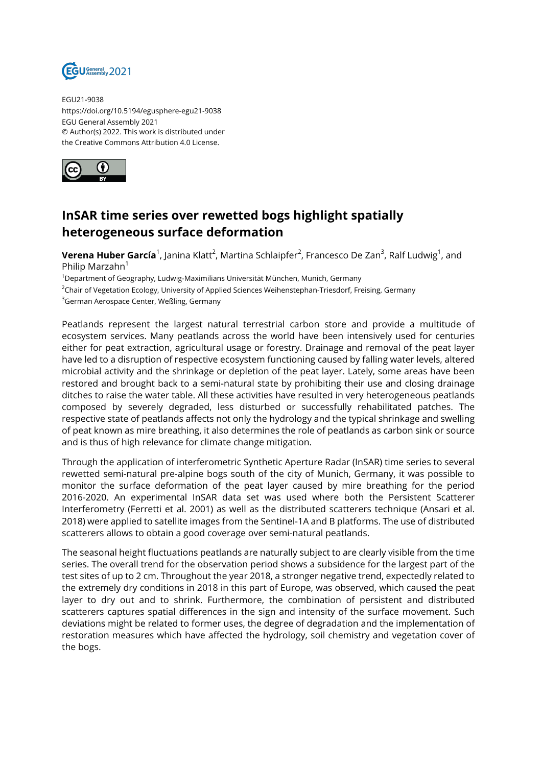

EGU21-9038 https://doi.org/10.5194/egusphere-egu21-9038 EGU General Assembly 2021 © Author(s) 2022. This work is distributed under the Creative Commons Attribution 4.0 License.



## **InSAR time series over rewetted bogs highlight spatially heterogeneous surface deformation**

**Verena Huber García**<sup>1</sup>, Janina Klatt<sup>2</sup>, Martina Schlaipfer<sup>2</sup>, Francesco De Zan<sup>3</sup>, Ralf Ludwig<sup>1</sup>, and Philip Marzahn<sup>1</sup>

<sup>1</sup>Department of Geography, Ludwig-Maximilians Universität München, Munich, Germany

<sup>2</sup>Chair of Vegetation Ecology, University of Applied Sciences Weihenstephan-Triesdorf, Freising, Germany

<sup>3</sup>German Aerospace Center, Weßling, Germany

Peatlands represent the largest natural terrestrial carbon store and provide a multitude of ecosystem services. Many peatlands across the world have been intensively used for centuries either for peat extraction, agricultural usage or forestry. Drainage and removal of the peat layer have led to a disruption of respective ecosystem functioning caused by falling water levels, altered microbial activity and the shrinkage or depletion of the peat layer. Lately, some areas have been restored and brought back to a semi-natural state by prohibiting their use and closing drainage ditches to raise the water table. All these activities have resulted in very heterogeneous peatlands composed by severely degraded, less disturbed or successfully rehabilitated patches. The respective state of peatlands affects not only the hydrology and the typical shrinkage and swelling of peat known as mire breathing, it also determines the role of peatlands as carbon sink or source and is thus of high relevance for climate change mitigation.

Through the application of interferometric Synthetic Aperture Radar (InSAR) time series to several rewetted semi-natural pre-alpine bogs south of the city of Munich, Germany, it was possible to monitor the surface deformation of the peat layer caused by mire breathing for the period 2016-2020. An experimental InSAR data set was used where both the Persistent Scatterer Interferometry (Ferretti et al. 2001) as well as the distributed scatterers technique (Ansari et al. 2018) were applied to satellite images from the Sentinel-1A and B platforms. The use of distributed scatterers allows to obtain a good coverage over semi-natural peatlands.

The seasonal height fluctuations peatlands are naturally subject to are clearly visible from the time series. The overall trend for the observation period shows a subsidence for the largest part of the test sites of up to 2 cm. Throughout the year 2018, a stronger negative trend, expectedly related to the extremely dry conditions in 2018 in this part of Europe, was observed, which caused the peat layer to dry out and to shrink. Furthermore, the combination of persistent and distributed scatterers captures spatial differences in the sign and intensity of the surface movement. Such deviations might be related to former uses, the degree of degradation and the implementation of restoration measures which have affected the hydrology, soil chemistry and vegetation cover of the bogs.